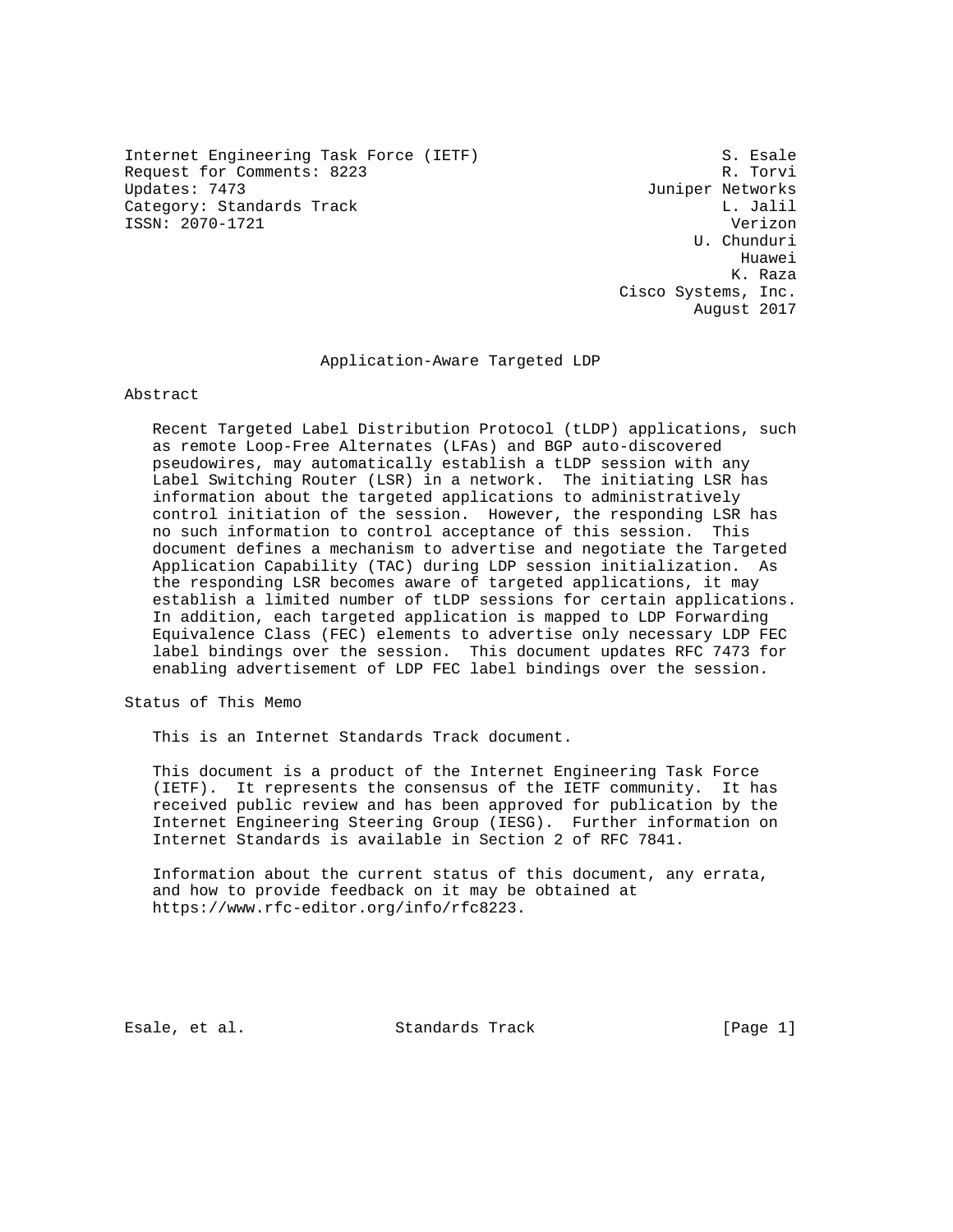Internet Engineering Task Force (IETF) S. Esale<br>Request for Comments: 8223 Request for Comments: 8223<br>Updates: 7473 Category: Standards Track L. Jalil ISSN: 2070-1721 Verizon

Juniper Networks U. Chunduri Huawei K. Raza Cisco Systems, Inc. August 2017

### Application-Aware Targeted LDP

Abstract

 Recent Targeted Label Distribution Protocol (tLDP) applications, such as remote Loop-Free Alternates (LFAs) and BGP auto-discovered pseudowires, may automatically establish a tLDP session with any Label Switching Router (LSR) in a network. The initiating LSR has information about the targeted applications to administratively control initiation of the session. However, the responding LSR has no such information to control acceptance of this session. This document defines a mechanism to advertise and negotiate the Targeted Application Capability (TAC) during LDP session initialization. As the responding LSR becomes aware of targeted applications, it may establish a limited number of tLDP sessions for certain applications. In addition, each targeted application is mapped to LDP Forwarding Equivalence Class (FEC) elements to advertise only necessary LDP FEC label bindings over the session. This document updates RFC 7473 for enabling advertisement of LDP FEC label bindings over the session.

Status of This Memo

This is an Internet Standards Track document.

 This document is a product of the Internet Engineering Task Force (IETF). It represents the consensus of the IETF community. It has received public review and has been approved for publication by the Internet Engineering Steering Group (IESG). Further information on Internet Standards is available in Section 2 of RFC 7841.

 Information about the current status of this document, any errata, and how to provide feedback on it may be obtained at https://www.rfc-editor.org/info/rfc8223.

Esale, et al. Standards Track [Page 1]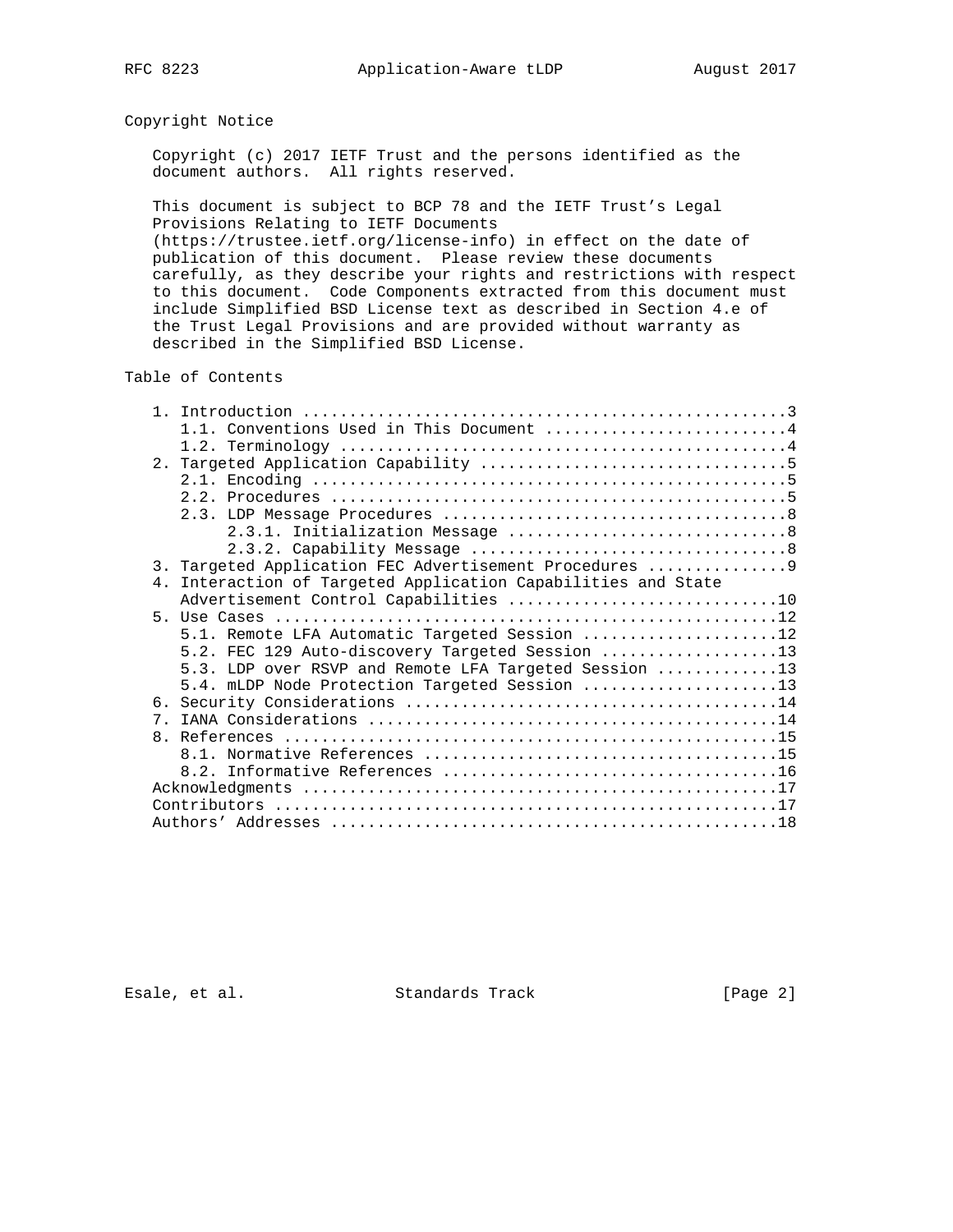# Copyright Notice

 Copyright (c) 2017 IETF Trust and the persons identified as the document authors. All rights reserved.

 This document is subject to BCP 78 and the IETF Trust's Legal Provisions Relating to IETF Documents (https://trustee.ietf.org/license-info) in effect on the date of

 publication of this document. Please review these documents carefully, as they describe your rights and restrictions with respect to this document. Code Components extracted from this document must include Simplified BSD License text as described in Section 4.e of the Trust Legal Provisions and are provided without warranty as described in the Simplified BSD License.

Table of Contents

|                | 1.1. Conventions Used in This Document 4                   |
|----------------|------------------------------------------------------------|
|                |                                                            |
|                |                                                            |
|                |                                                            |
|                |                                                            |
|                |                                                            |
|                |                                                            |
|                |                                                            |
|                | 3. Targeted Application FEC Advertisement Procedures 9     |
| 4 <sup>1</sup> | Interaction of Targeted Application Capabilities and State |
|                |                                                            |
|                |                                                            |
|                | 5.1. Remote LFA Automatic Targeted Session 12              |
|                | 5.2. FEC 129 Auto-discovery Targeted Session 13            |
|                | 5.3. LDP over RSVP and Remote LFA Targeted Session 13      |
|                | 5.4. mLDP Node Protection Targeted Session 13              |
|                |                                                            |
| 7 <sub>1</sub> |                                                            |
|                |                                                            |
|                |                                                            |
|                |                                                            |
|                |                                                            |
|                |                                                            |
|                |                                                            |

Esale, et al. Standards Track [Page 2]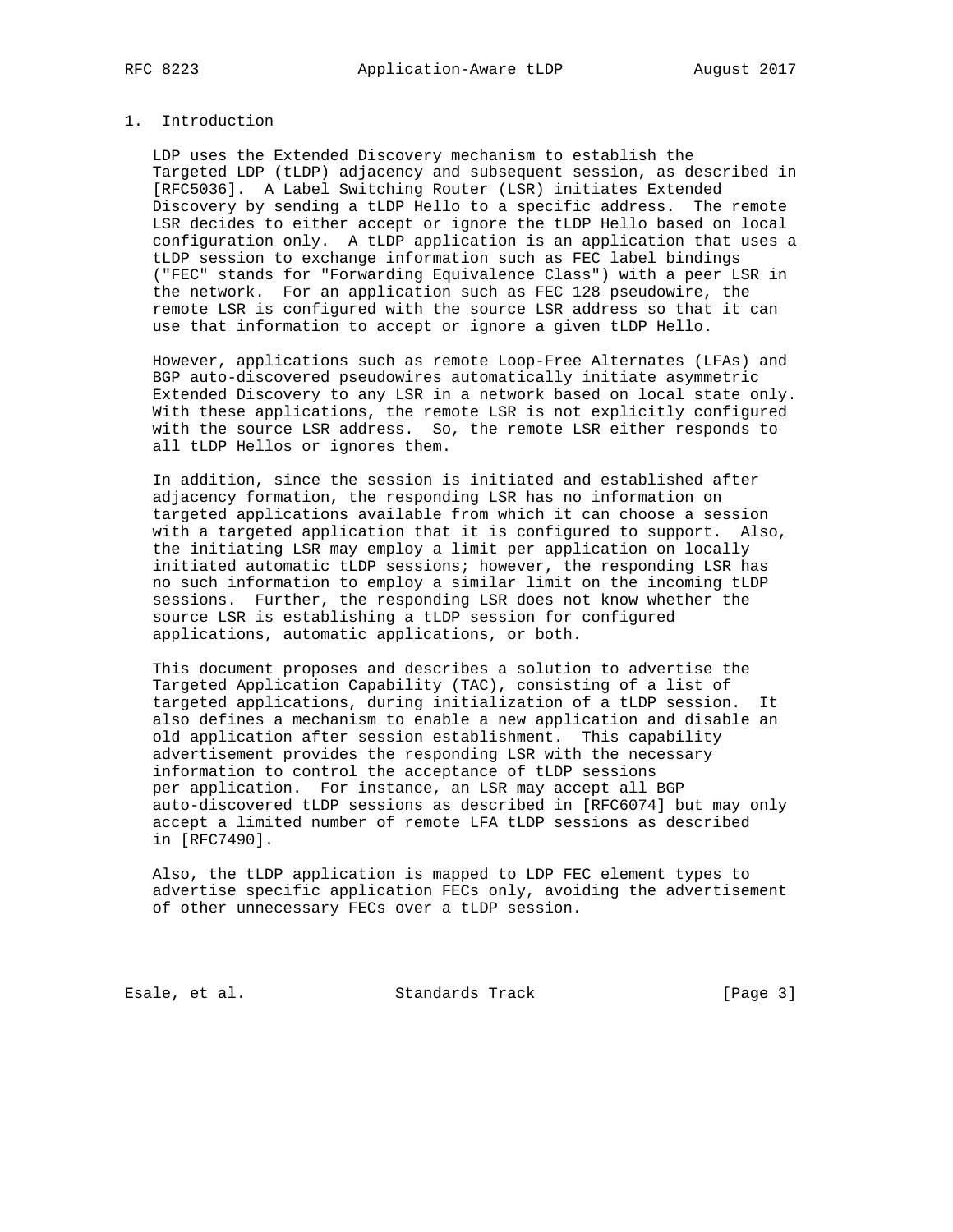# 1. Introduction

 LDP uses the Extended Discovery mechanism to establish the Targeted LDP (tLDP) adjacency and subsequent session, as described in [RFC5036]. A Label Switching Router (LSR) initiates Extended Discovery by sending a tLDP Hello to a specific address. The remote LSR decides to either accept or ignore the tLDP Hello based on local configuration only. A tLDP application is an application that uses a tLDP session to exchange information such as FEC label bindings ("FEC" stands for "Forwarding Equivalence Class") with a peer LSR in the network. For an application such as FEC 128 pseudowire, the remote LSR is configured with the source LSR address so that it can use that information to accept or ignore a given tLDP Hello.

 However, applications such as remote Loop-Free Alternates (LFAs) and BGP auto-discovered pseudowires automatically initiate asymmetric Extended Discovery to any LSR in a network based on local state only. With these applications, the remote LSR is not explicitly configured with the source LSR address. So, the remote LSR either responds to all tLDP Hellos or ignores them.

 In addition, since the session is initiated and established after adjacency formation, the responding LSR has no information on targeted applications available from which it can choose a session with a targeted application that it is configured to support. Also, the initiating LSR may employ a limit per application on locally initiated automatic tLDP sessions; however, the responding LSR has no such information to employ a similar limit on the incoming tLDP sessions. Further, the responding LSR does not know whether the source LSR is establishing a tLDP session for configured applications, automatic applications, or both.

 This document proposes and describes a solution to advertise the Targeted Application Capability (TAC), consisting of a list of targeted applications, during initialization of a tLDP session. It also defines a mechanism to enable a new application and disable an old application after session establishment. This capability advertisement provides the responding LSR with the necessary information to control the acceptance of tLDP sessions per application. For instance, an LSR may accept all BGP auto-discovered tLDP sessions as described in [RFC6074] but may only accept a limited number of remote LFA tLDP sessions as described in [RFC7490].

 Also, the tLDP application is mapped to LDP FEC element types to advertise specific application FECs only, avoiding the advertisement of other unnecessary FECs over a tLDP session.

Esale, et al. Standards Track [Page 3]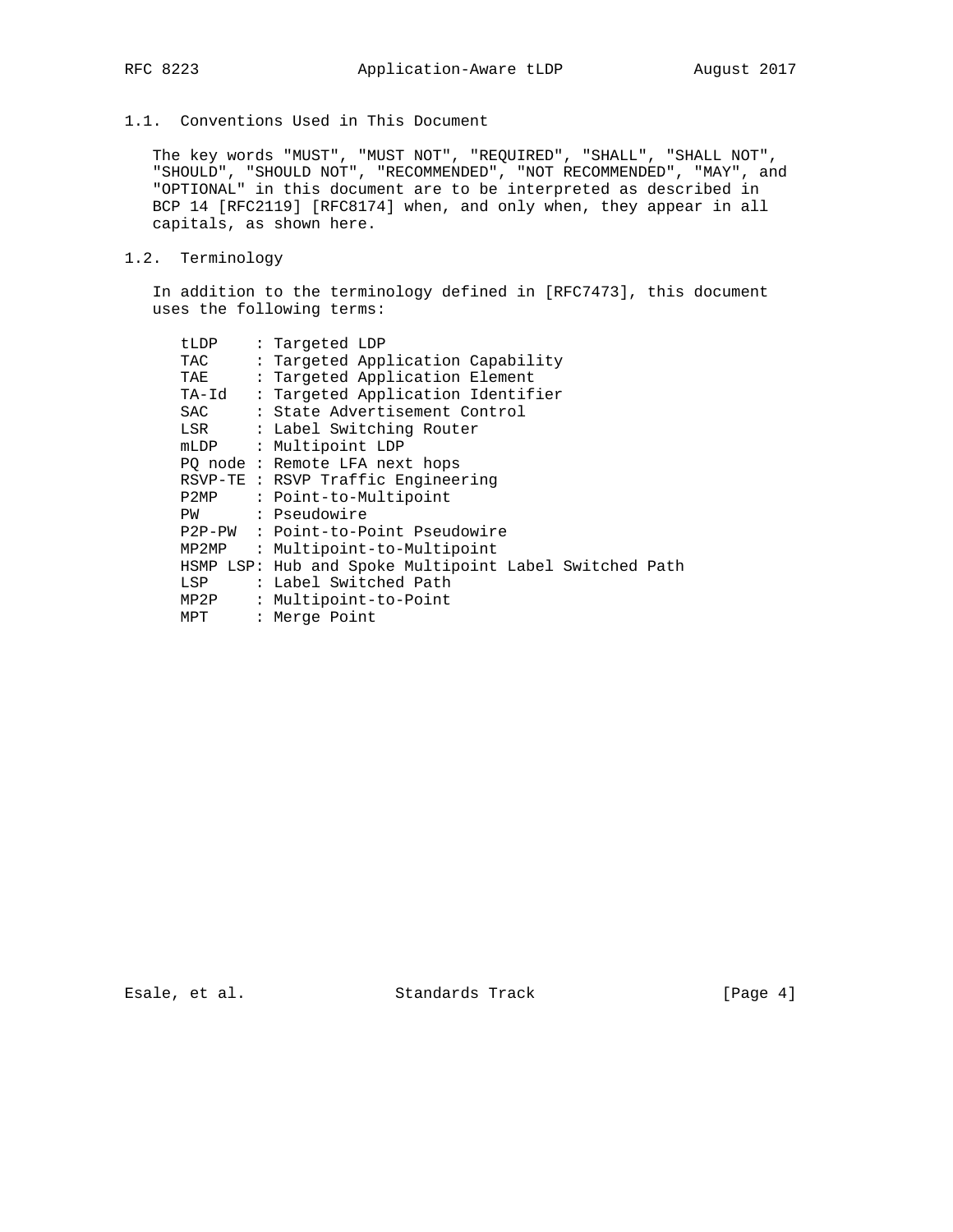# 1.1. Conventions Used in This Document

 The key words "MUST", "MUST NOT", "REQUIRED", "SHALL", "SHALL NOT", "SHOULD", "SHOULD NOT", "RECOMMENDED", "NOT RECOMMENDED", "MAY", and "OPTIONAL" in this document are to be interpreted as described in BCP 14 [RFC2119] [RFC8174] when, and only when, they appear in all capitals, as shown here.

# 1.2. Terminology

 In addition to the terminology defined in [RFC7473], this document uses the following terms:

| tLDP  | : Targeted LDP                                         |
|-------|--------------------------------------------------------|
| TAC   | : Targeted Application Capability                      |
| TAE   | : Targeted Application Element                         |
| TA-Id | : Targeted Application Identifier                      |
| SAC.  | : State Advertisement Control                          |
| LSR   | : Label Switching Router                               |
| mLDP  | : Multipoint LDP                                       |
|       | PQ node: Remote LFA next hops                          |
|       | RSVP-TE : RSVP Traffic Engineering                     |
| P2MP  | : Point-to-Multipoint                                  |
| PW    | : Pseudowire                                           |
|       | P2P-PW : Point-to-Point Pseudowire                     |
| MP2MP | : Multipoint-to-Multipoint                             |
|       | HSMP LSP: Hub and Spoke Multipoint Label Switched Path |
| LSP   | : Label Switched Path                                  |
| MP2P  | : Multipoint-to-Point                                  |
| MPT   | : Merge Point                                          |

Esale, et al. Standards Track [Page 4]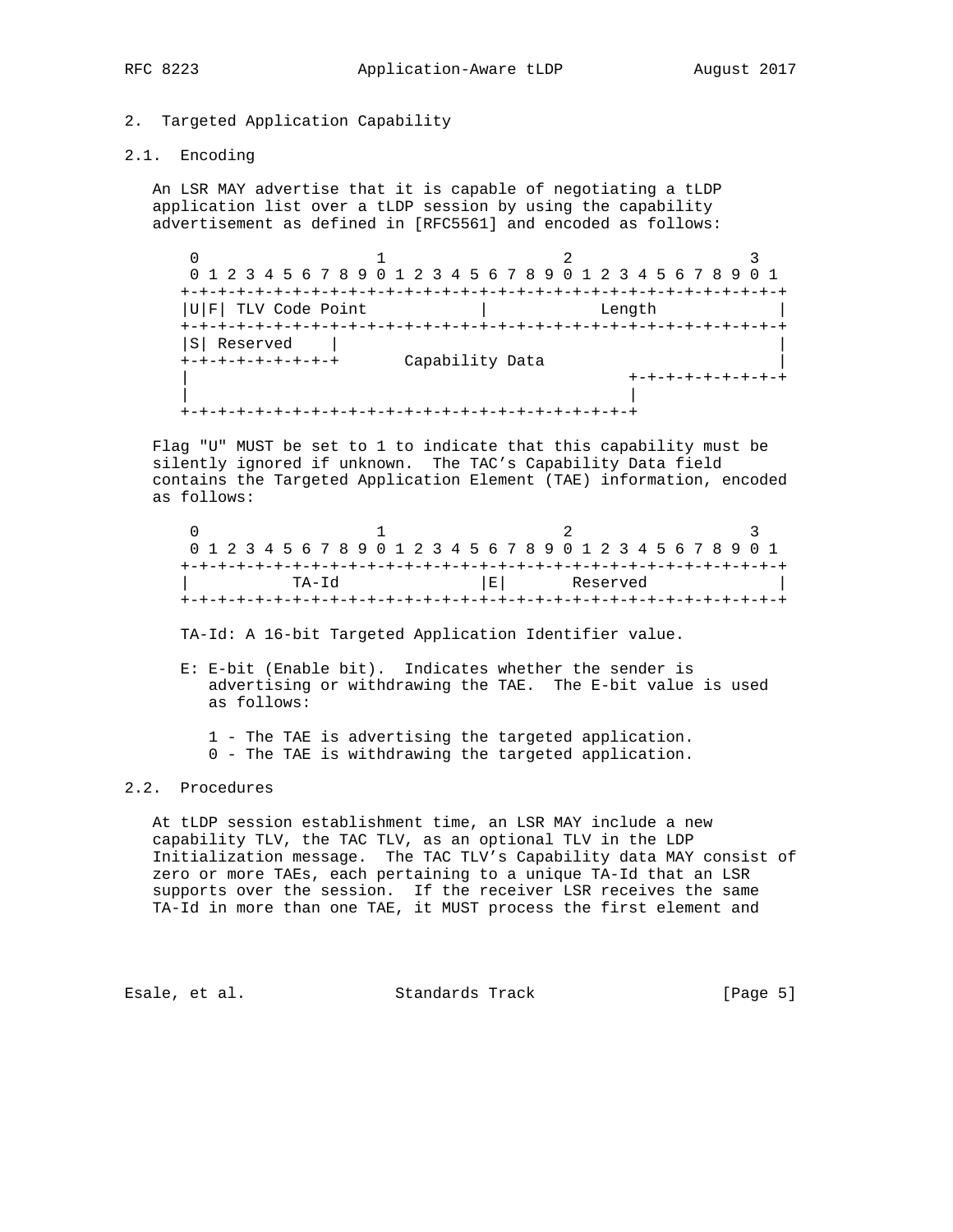# 2. Targeted Application Capability

## 2.1. Encoding

 An LSR MAY advertise that it is capable of negotiating a tLDP application list over a tLDP session by using the capability advertisement as defined in [RFC5561] and encoded as follows:

0  $1$  2 3 0 1 2 3 4 5 6 7 8 9 0 1 2 3 4 5 6 7 8 9 0 1 2 3 4 5 6 7 8 9 0 1 +-+-+-+-+-+-+-+-+-+-+-+-+-+-+-+-+-+-+-+-+-+-+-+-+-+-+-+-+-+-+-+-+ |U|F| TLV Code Point | Length +-+-+-+-+-+-+-+-+-+-+-+-+-+-+-+-+-+-+-+-+-+-+-+-+-+-+-+-+-+-+-+-+ |S| Reserved | | +-+-+-+-+-+-+-+-+ Capability Data | | +-+-+-+-+-+-+-+-+ | | +-+-+-+-+-+-+-+-+-+-+-+-+-+-+-+-+-+-+-+-+-+-+-+-+

 Flag "U" MUST be set to 1 to indicate that this capability must be silently ignored if unknown. The TAC's Capability Data field contains the Targeted Application Element (TAE) information, encoded as follows:

| 0 1 2 3 4 5 6 7 8 9 0 1 2 3 4 5 6 7 8 9 0 1 2 3 4 5 6 7 8 9 0 1 |  |  |  |  |  |       |  |  |  |  |  |    |  |  |  |  |          |  |  |  |  |  |  |  |  |  |
|-----------------------------------------------------------------|--|--|--|--|--|-------|--|--|--|--|--|----|--|--|--|--|----------|--|--|--|--|--|--|--|--|--|
|                                                                 |  |  |  |  |  |       |  |  |  |  |  |    |  |  |  |  |          |  |  |  |  |  |  |  |  |  |
|                                                                 |  |  |  |  |  | TA-Td |  |  |  |  |  | EL |  |  |  |  | Reserved |  |  |  |  |  |  |  |  |  |
|                                                                 |  |  |  |  |  |       |  |  |  |  |  |    |  |  |  |  |          |  |  |  |  |  |  |  |  |  |

TA-Id: A 16-bit Targeted Application Identifier value.

 E: E-bit (Enable bit). Indicates whether the sender is advertising or withdrawing the TAE. The E-bit value is used as follows:

 1 - The TAE is advertising the targeted application. 0 - The TAE is withdrawing the targeted application.

## 2.2. Procedures

 At tLDP session establishment time, an LSR MAY include a new capability TLV, the TAC TLV, as an optional TLV in the LDP Initialization message. The TAC TLV's Capability data MAY consist of zero or more TAEs, each pertaining to a unique TA-Id that an LSR supports over the session. If the receiver LSR receives the same TA-Id in more than one TAE, it MUST process the first element and

Esale, et al. Standards Track [Page 5]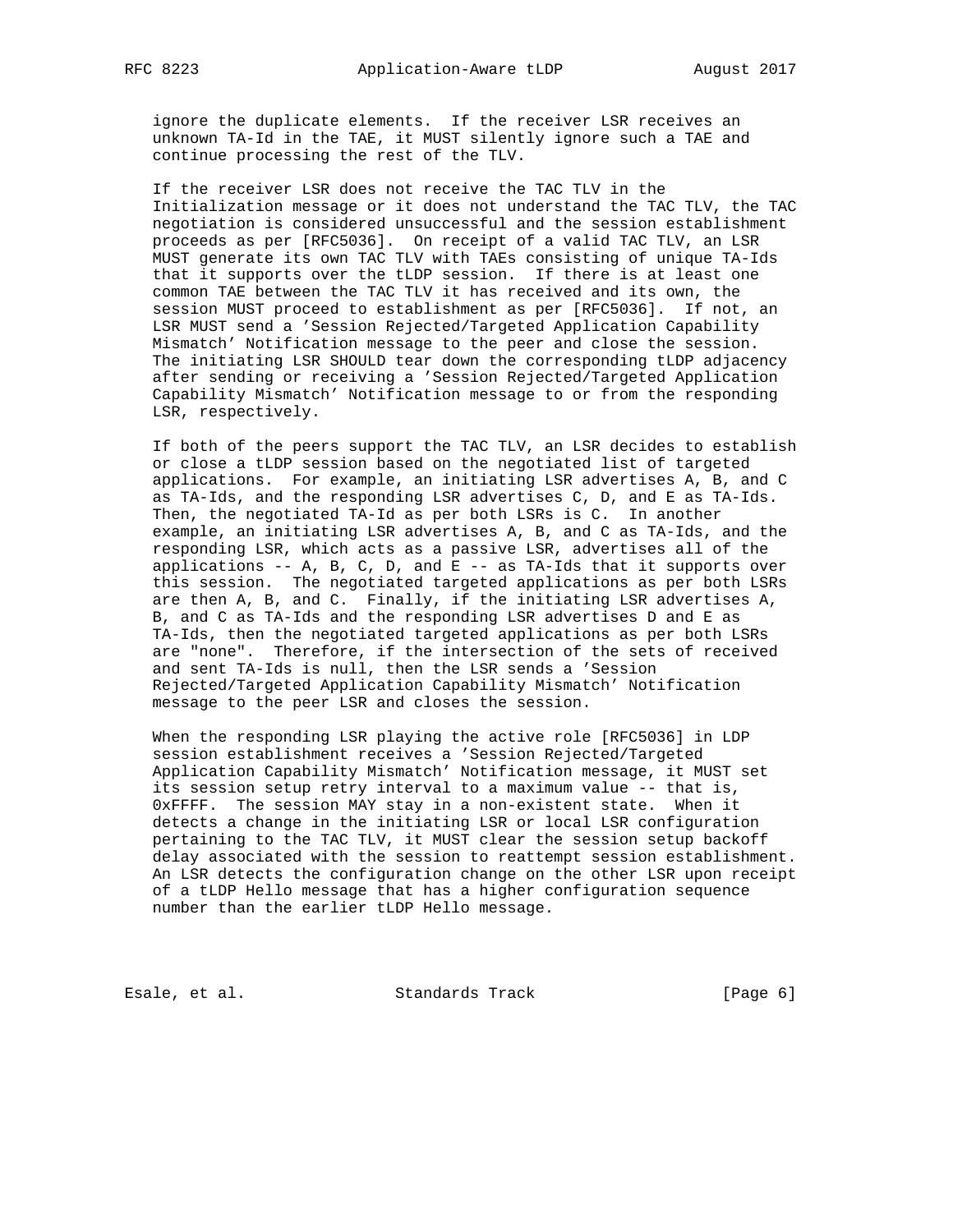ignore the duplicate elements. If the receiver LSR receives an unknown TA-Id in the TAE, it MUST silently ignore such a TAE and continue processing the rest of the TLV.

 If the receiver LSR does not receive the TAC TLV in the Initialization message or it does not understand the TAC TLV, the TAC negotiation is considered unsuccessful and the session establishment proceeds as per [RFC5036]. On receipt of a valid TAC TLV, an LSR MUST generate its own TAC TLV with TAEs consisting of unique TA-Ids that it supports over the tLDP session. If there is at least one common TAE between the TAC TLV it has received and its own, the session MUST proceed to establishment as per [RFC5036]. If not, an LSR MUST send a 'Session Rejected/Targeted Application Capability Mismatch' Notification message to the peer and close the session. The initiating LSR SHOULD tear down the corresponding tLDP adjacency after sending or receiving a 'Session Rejected/Targeted Application Capability Mismatch' Notification message to or from the responding LSR, respectively.

 If both of the peers support the TAC TLV, an LSR decides to establish or close a tLDP session based on the negotiated list of targeted applications. For example, an initiating LSR advertises A, B, and C as TA-Ids, and the responding LSR advertises C, D, and E as TA-Ids. Then, the negotiated TA-Id as per both LSRs is C. In another example, an initiating LSR advertises A, B, and C as TA-Ids, and the responding LSR, which acts as a passive LSR, advertises all of the applications  $-$ - A, B, C, D, and E  $-$ - as TA-Ids that it supports over this session. The negotiated targeted applications as per both LSRs are then A, B, and C. Finally, if the initiating LSR advertises A, B, and C as TA-Ids and the responding LSR advertises D and E as TA-Ids, then the negotiated targeted applications as per both LSRs are "none". Therefore, if the intersection of the sets of received and sent TA-Ids is null, then the LSR sends a 'Session Rejected/Targeted Application Capability Mismatch' Notification message to the peer LSR and closes the session.

 When the responding LSR playing the active role [RFC5036] in LDP session establishment receives a 'Session Rejected/Targeted Application Capability Mismatch' Notification message, it MUST set its session setup retry interval to a maximum value -- that is, 0xFFFF. The session MAY stay in a non-existent state. When it detects a change in the initiating LSR or local LSR configuration pertaining to the TAC TLV, it MUST clear the session setup backoff delay associated with the session to reattempt session establishment. An LSR detects the configuration change on the other LSR upon receipt of a tLDP Hello message that has a higher configuration sequence number than the earlier tLDP Hello message.

Esale, et al. Standards Track [Page 6]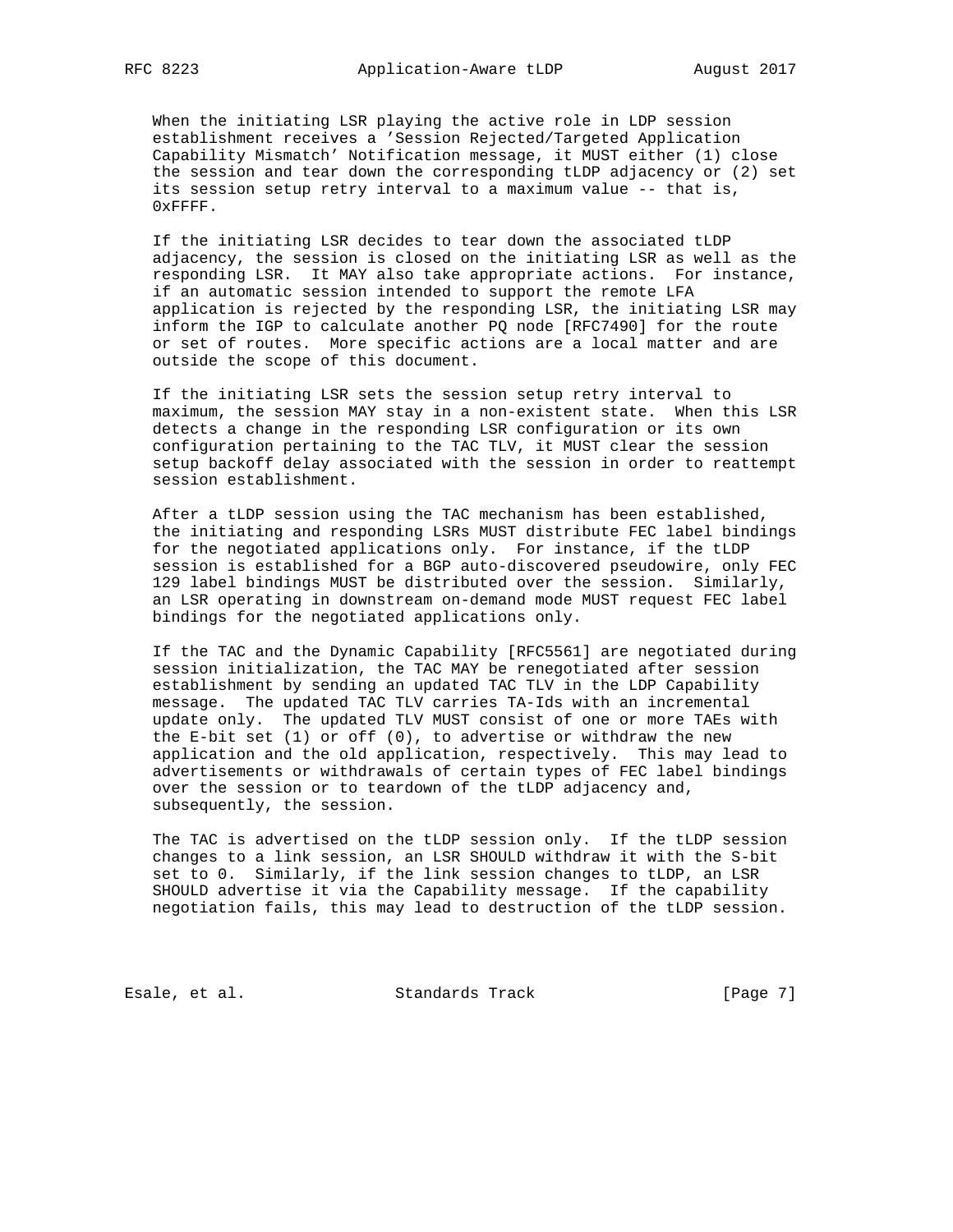When the initiating LSR playing the active role in LDP session establishment receives a 'Session Rejected/Targeted Application Capability Mismatch' Notification message, it MUST either (1) close the session and tear down the corresponding tLDP adjacency or (2) set its session setup retry interval to a maximum value -- that is, 0xFFFF.

 If the initiating LSR decides to tear down the associated tLDP adjacency, the session is closed on the initiating LSR as well as the responding LSR. It MAY also take appropriate actions. For instance, if an automatic session intended to support the remote LFA application is rejected by the responding LSR, the initiating LSR may inform the IGP to calculate another PQ node [RFC7490] for the route or set of routes. More specific actions are a local matter and are outside the scope of this document.

 If the initiating LSR sets the session setup retry interval to maximum, the session MAY stay in a non-existent state. When this LSR detects a change in the responding LSR configuration or its own configuration pertaining to the TAC TLV, it MUST clear the session setup backoff delay associated with the session in order to reattempt session establishment.

 After a tLDP session using the TAC mechanism has been established, the initiating and responding LSRs MUST distribute FEC label bindings for the negotiated applications only. For instance, if the tLDP session is established for a BGP auto-discovered pseudowire, only FEC 129 label bindings MUST be distributed over the session. Similarly, an LSR operating in downstream on-demand mode MUST request FEC label bindings for the negotiated applications only.

 If the TAC and the Dynamic Capability [RFC5561] are negotiated during session initialization, the TAC MAY be renegotiated after session establishment by sending an updated TAC TLV in the LDP Capability message. The updated TAC TLV carries TA-Ids with an incremental update only. The updated TLV MUST consist of one or more TAEs with the E-bit set (1) or off (0), to advertise or withdraw the new application and the old application, respectively. This may lead to advertisements or withdrawals of certain types of FEC label bindings over the session or to teardown of the tLDP adjacency and, subsequently, the session.

 The TAC is advertised on the tLDP session only. If the tLDP session changes to a link session, an LSR SHOULD withdraw it with the S-bit set to 0. Similarly, if the link session changes to tLDP, an LSR SHOULD advertise it via the Capability message. If the capability negotiation fails, this may lead to destruction of the tLDP session.

Esale, et al. Standards Track [Page 7]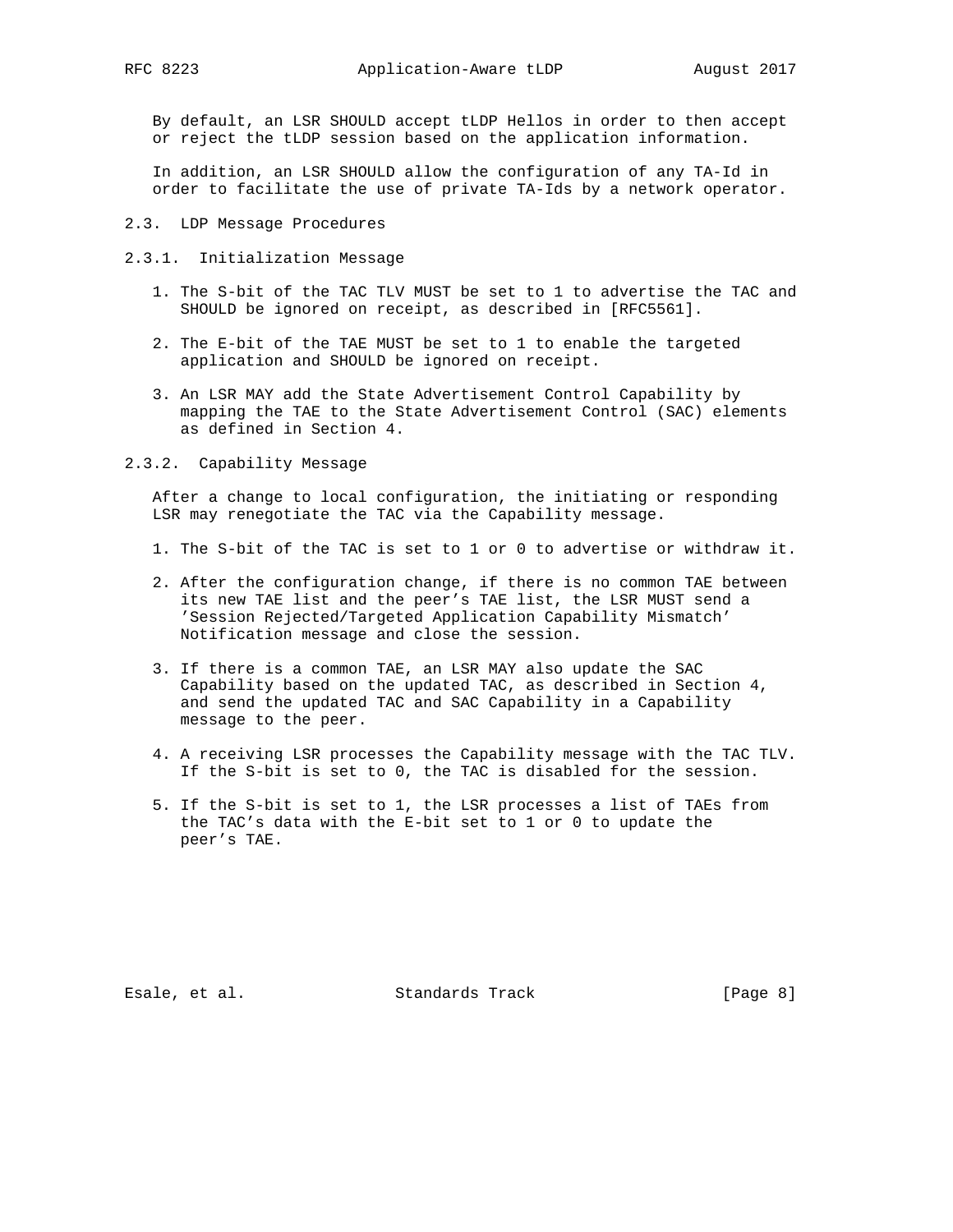By default, an LSR SHOULD accept tLDP Hellos in order to then accept or reject the tLDP session based on the application information.

 In addition, an LSR SHOULD allow the configuration of any TA-Id in order to facilitate the use of private TA-Ids by a network operator.

2.3. LDP Message Procedures

- 2.3.1. Initialization Message
	- 1. The S-bit of the TAC TLV MUST be set to 1 to advertise the TAC and SHOULD be ignored on receipt, as described in [RFC5561].
	- 2. The E-bit of the TAE MUST be set to 1 to enable the targeted application and SHOULD be ignored on receipt.
	- 3. An LSR MAY add the State Advertisement Control Capability by mapping the TAE to the State Advertisement Control (SAC) elements as defined in Section 4.
- 2.3.2. Capability Message

 After a change to local configuration, the initiating or responding LSR may renegotiate the TAC via the Capability message.

- 1. The S-bit of the TAC is set to 1 or 0 to advertise or withdraw it.
- 2. After the configuration change, if there is no common TAE between its new TAE list and the peer's TAE list, the LSR MUST send a 'Session Rejected/Targeted Application Capability Mismatch' Notification message and close the session.
- 3. If there is a common TAE, an LSR MAY also update the SAC Capability based on the updated TAC, as described in Section 4, and send the updated TAC and SAC Capability in a Capability message to the peer.
- 4. A receiving LSR processes the Capability message with the TAC TLV. If the S-bit is set to 0, the TAC is disabled for the session.
- 5. If the S-bit is set to 1, the LSR processes a list of TAEs from the TAC's data with the E-bit set to 1 or 0 to update the peer's TAE.

Esale, et al. Standards Track [Page 8]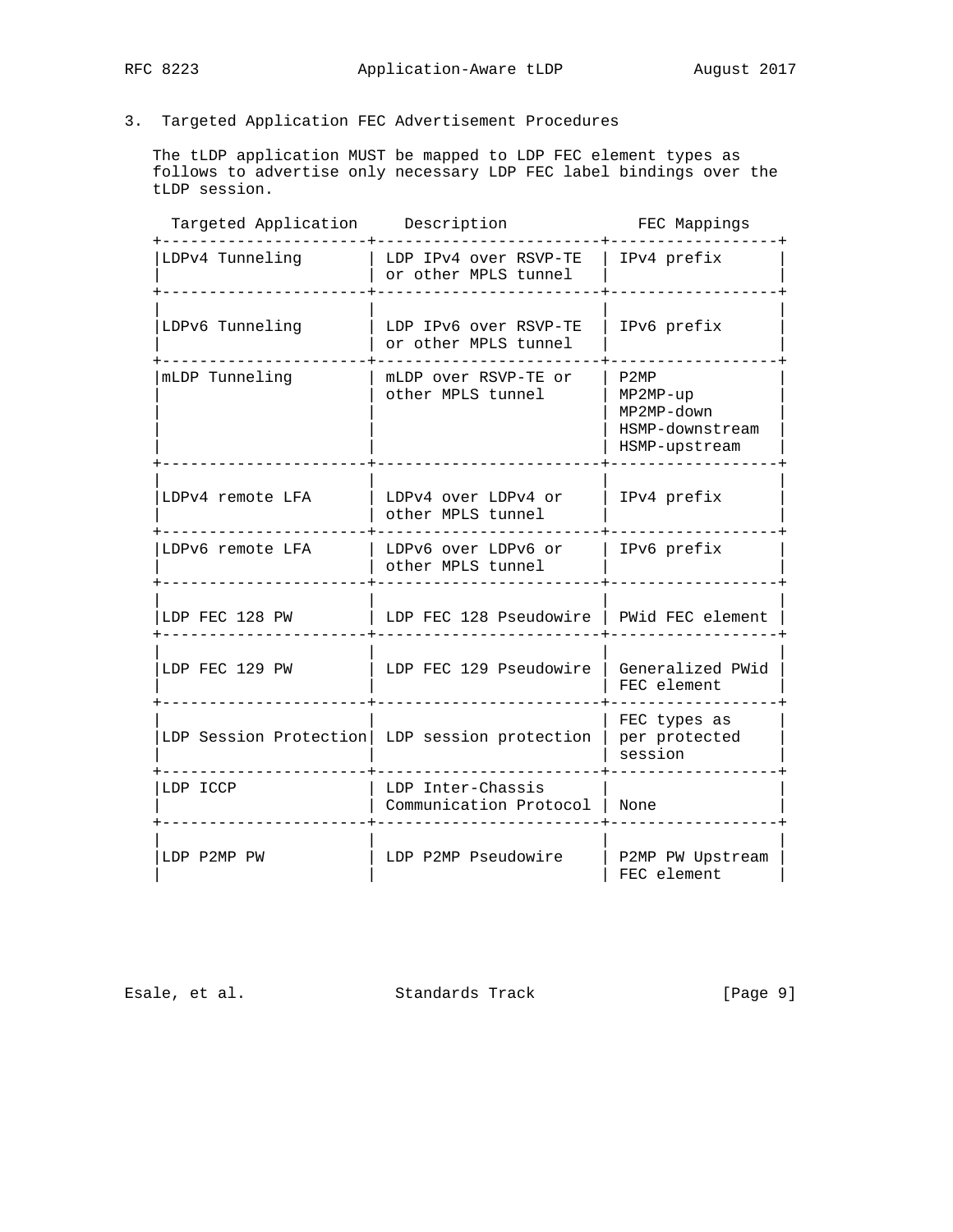# 3. Targeted Application FEC Advertisement Procedures

 The tLDP application MUST be mapped to LDP FEC element types as follows to advertise only necessary LDP FEC label bindings over the tLDP session.

| Targeted Application | Description                                   | FEC Mappings                                                         |
|----------------------|-----------------------------------------------|----------------------------------------------------------------------|
| LDPv4 Tunneling      | LDP IPv4 over RSVP-TE<br>or other MPLS tunnel | IPv4 prefix                                                          |
| LDPv6 Tunneling      | LDP IPv6 over RSVP-TE<br>or other MPLS tunnel | IPv6 prefix                                                          |
| mLDP Tunneling       | mLDP over RSVP-TE or<br>other MPLS tunnel     | P2MP<br>$MP2MP-up$<br>MP2MP-down<br>HSMP-downstream<br>HSMP-upstream |
| LDPv4 remote LFA     | LDPv4 over LDPv4 or<br>other MPLS tunnel      | IPv4 prefix                                                          |
| LDPv6 remote LFA     | LDPv6 over LDPv6 or<br>other MPLS tunnel      | IPv6 prefix                                                          |
| LDP FEC 128 PW       | LDP FEC 128 Pseudowire   PWid FEC element     |                                                                      |
| LDP FEC 129 PW       | LDP FEC 129 Pseudowire                        | Generalized PWid<br>FEC element                                      |
|                      | LDP Session Protection LDP session protection | FEC types as<br>per protected<br>session                             |
| LDP ICCP             | LDP Inter-Chassis<br>Communication Protocol   | None                                                                 |
| LDP P2MP PW          | LDP P2MP Pseudowire                           | P2MP PW Upstream<br>FEC element                                      |

Esale, et al. Standards Track [Page 9]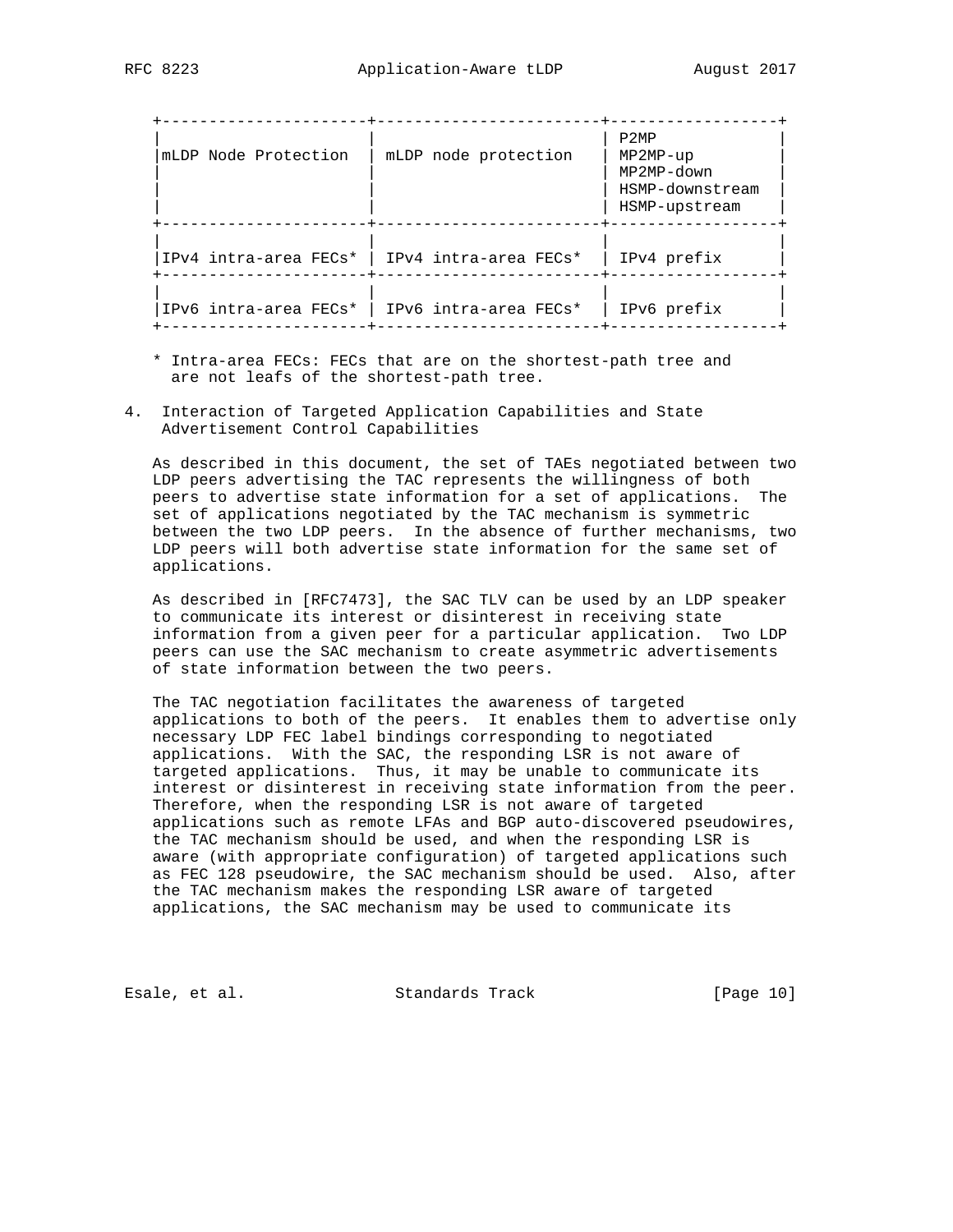| mLDP Node Protection                                | mLDP node protection                          | P2MP<br>$MP2MP-up$<br>MP2MP-down<br>HSMP-downstream<br>HSMP-upstream |
|-----------------------------------------------------|-----------------------------------------------|----------------------------------------------------------------------|
|                                                     | IPv4 intra-area FECs*   IPv4 intra-area FECs* | IPv4 prefix                                                          |
| IPv6 intra-area $FECs^*$   IPv6 intra-area $FECs^*$ |                                               | IPv6 prefix                                                          |

- \* Intra-area FECs: FECs that are on the shortest-path tree and are not leafs of the shortest-path tree.
- 4. Interaction of Targeted Application Capabilities and State Advertisement Control Capabilities

 As described in this document, the set of TAEs negotiated between two LDP peers advertising the TAC represents the willingness of both peers to advertise state information for a set of applications. The set of applications negotiated by the TAC mechanism is symmetric between the two LDP peers. In the absence of further mechanisms, two LDP peers will both advertise state information for the same set of applications.

 As described in [RFC7473], the SAC TLV can be used by an LDP speaker to communicate its interest or disinterest in receiving state information from a given peer for a particular application. Two LDP peers can use the SAC mechanism to create asymmetric advertisements of state information between the two peers.

 The TAC negotiation facilitates the awareness of targeted applications to both of the peers. It enables them to advertise only necessary LDP FEC label bindings corresponding to negotiated applications. With the SAC, the responding LSR is not aware of targeted applications. Thus, it may be unable to communicate its interest or disinterest in receiving state information from the peer. Therefore, when the responding LSR is not aware of targeted applications such as remote LFAs and BGP auto-discovered pseudowires, the TAC mechanism should be used, and when the responding LSR is aware (with appropriate configuration) of targeted applications such as FEC 128 pseudowire, the SAC mechanism should be used. Also, after the TAC mechanism makes the responding LSR aware of targeted applications, the SAC mechanism may be used to communicate its

Esale, et al. Standards Track [Page 10]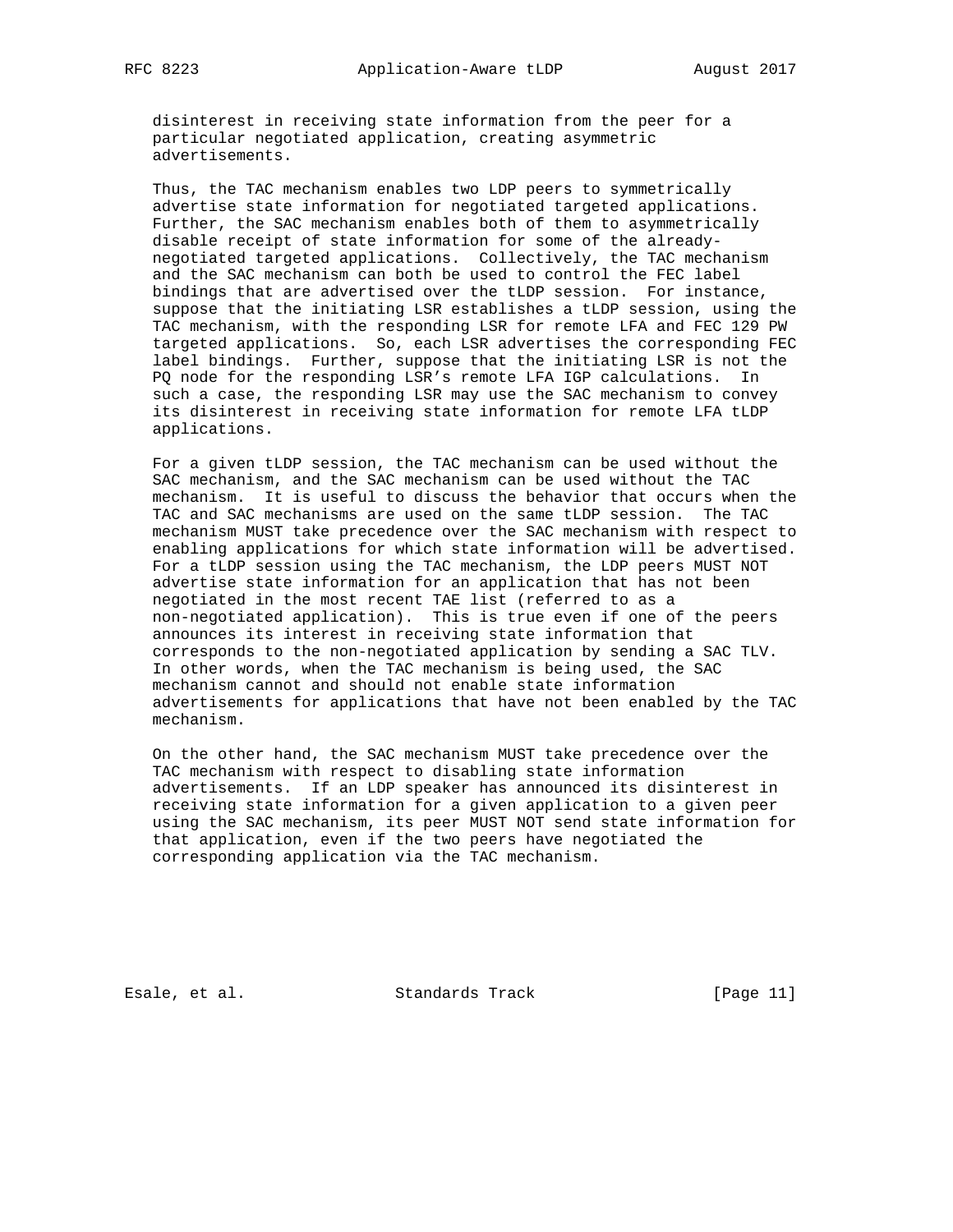disinterest in receiving state information from the peer for a particular negotiated application, creating asymmetric advertisements.

 Thus, the TAC mechanism enables two LDP peers to symmetrically advertise state information for negotiated targeted applications. Further, the SAC mechanism enables both of them to asymmetrically disable receipt of state information for some of the already negotiated targeted applications. Collectively, the TAC mechanism and the SAC mechanism can both be used to control the FEC label bindings that are advertised over the tLDP session. For instance, suppose that the initiating LSR establishes a tLDP session, using the TAC mechanism, with the responding LSR for remote LFA and FEC 129 PW targeted applications. So, each LSR advertises the corresponding FEC label bindings. Further, suppose that the initiating LSR is not the PQ node for the responding LSR's remote LFA IGP calculations. In such a case, the responding LSR may use the SAC mechanism to convey its disinterest in receiving state information for remote LFA tLDP applications.

 For a given tLDP session, the TAC mechanism can be used without the SAC mechanism, and the SAC mechanism can be used without the TAC mechanism. It is useful to discuss the behavior that occurs when the TAC and SAC mechanisms are used on the same tLDP session. The TAC mechanism MUST take precedence over the SAC mechanism with respect to enabling applications for which state information will be advertised. For a tLDP session using the TAC mechanism, the LDP peers MUST NOT advertise state information for an application that has not been negotiated in the most recent TAE list (referred to as a non-negotiated application). This is true even if one of the peers announces its interest in receiving state information that corresponds to the non-negotiated application by sending a SAC TLV. In other words, when the TAC mechanism is being used, the SAC mechanism cannot and should not enable state information advertisements for applications that have not been enabled by the TAC mechanism.

 On the other hand, the SAC mechanism MUST take precedence over the TAC mechanism with respect to disabling state information advertisements. If an LDP speaker has announced its disinterest in receiving state information for a given application to a given peer using the SAC mechanism, its peer MUST NOT send state information for that application, even if the two peers have negotiated the corresponding application via the TAC mechanism.

Esale, et al. Standards Track [Page 11]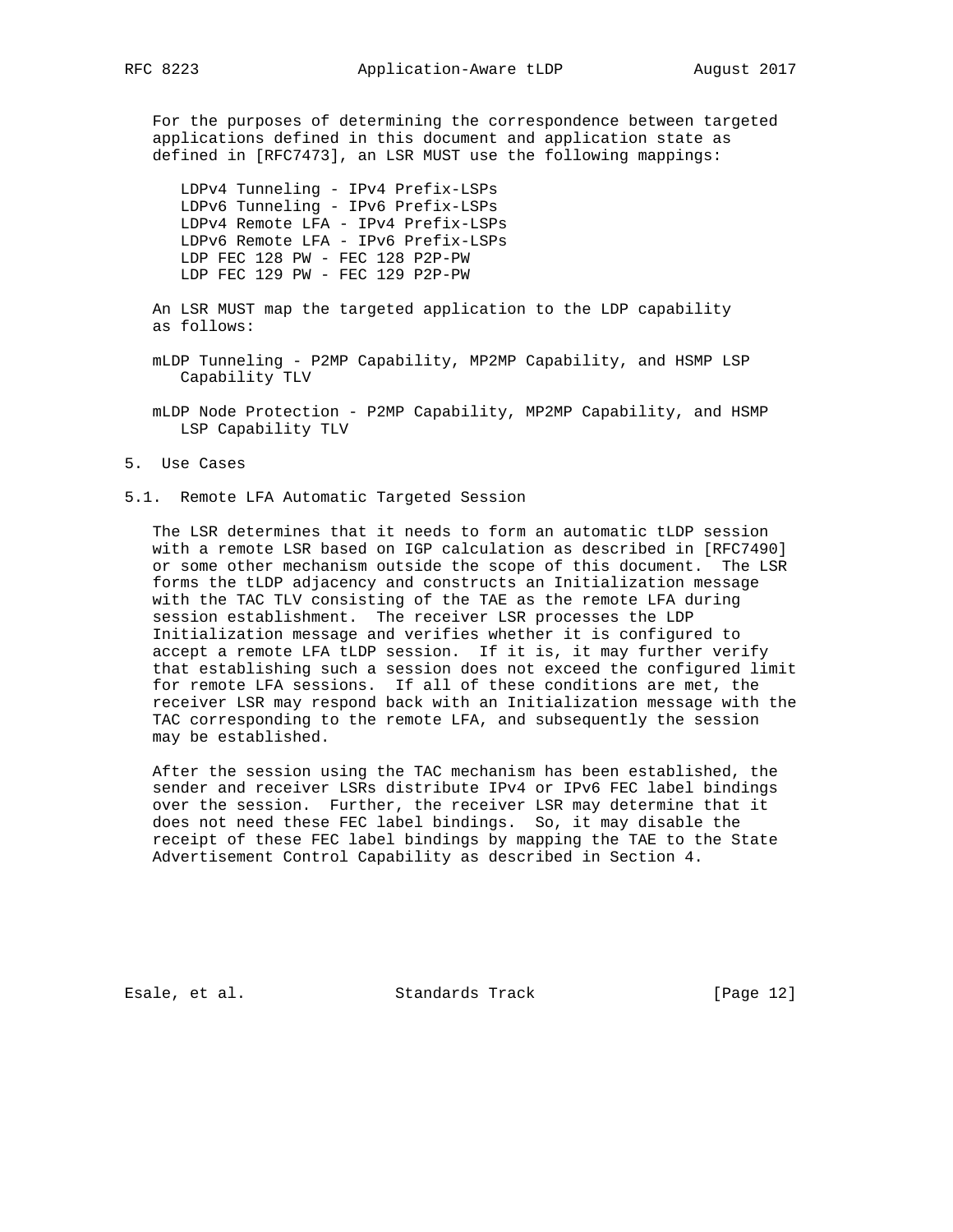For the purposes of determining the correspondence between targeted applications defined in this document and application state as defined in [RFC7473], an LSR MUST use the following mappings:

 LDPv4 Tunneling - IPv4 Prefix-LSPs LDPv6 Tunneling - IPv6 Prefix-LSPs LDPv4 Remote LFA - IPv4 Prefix-LSPs LDPv6 Remote LFA - IPv6 Prefix-LSPs LDP FEC 128 PW - FEC 128 P2P-PW LDP FEC 129 PW - FEC 129 P2P-PW

 An LSR MUST map the targeted application to the LDP capability as follows:

 mLDP Tunneling - P2MP Capability, MP2MP Capability, and HSMP LSP Capability TLV

 mLDP Node Protection - P2MP Capability, MP2MP Capability, and HSMP LSP Capability TLV

5. Use Cases

5.1. Remote LFA Automatic Targeted Session

 The LSR determines that it needs to form an automatic tLDP session with a remote LSR based on IGP calculation as described in [RFC7490] or some other mechanism outside the scope of this document. The LSR forms the tLDP adjacency and constructs an Initialization message with the TAC TLV consisting of the TAE as the remote LFA during session establishment. The receiver LSR processes the LDP Initialization message and verifies whether it is configured to accept a remote LFA tLDP session. If it is, it may further verify that establishing such a session does not exceed the configured limit for remote LFA sessions. If all of these conditions are met, the receiver LSR may respond back with an Initialization message with the TAC corresponding to the remote LFA, and subsequently the session may be established.

 After the session using the TAC mechanism has been established, the sender and receiver LSRs distribute IPv4 or IPv6 FEC label bindings over the session. Further, the receiver LSR may determine that it does not need these FEC label bindings. So, it may disable the receipt of these FEC label bindings by mapping the TAE to the State Advertisement Control Capability as described in Section 4.

Esale, et al. Standards Track [Page 12]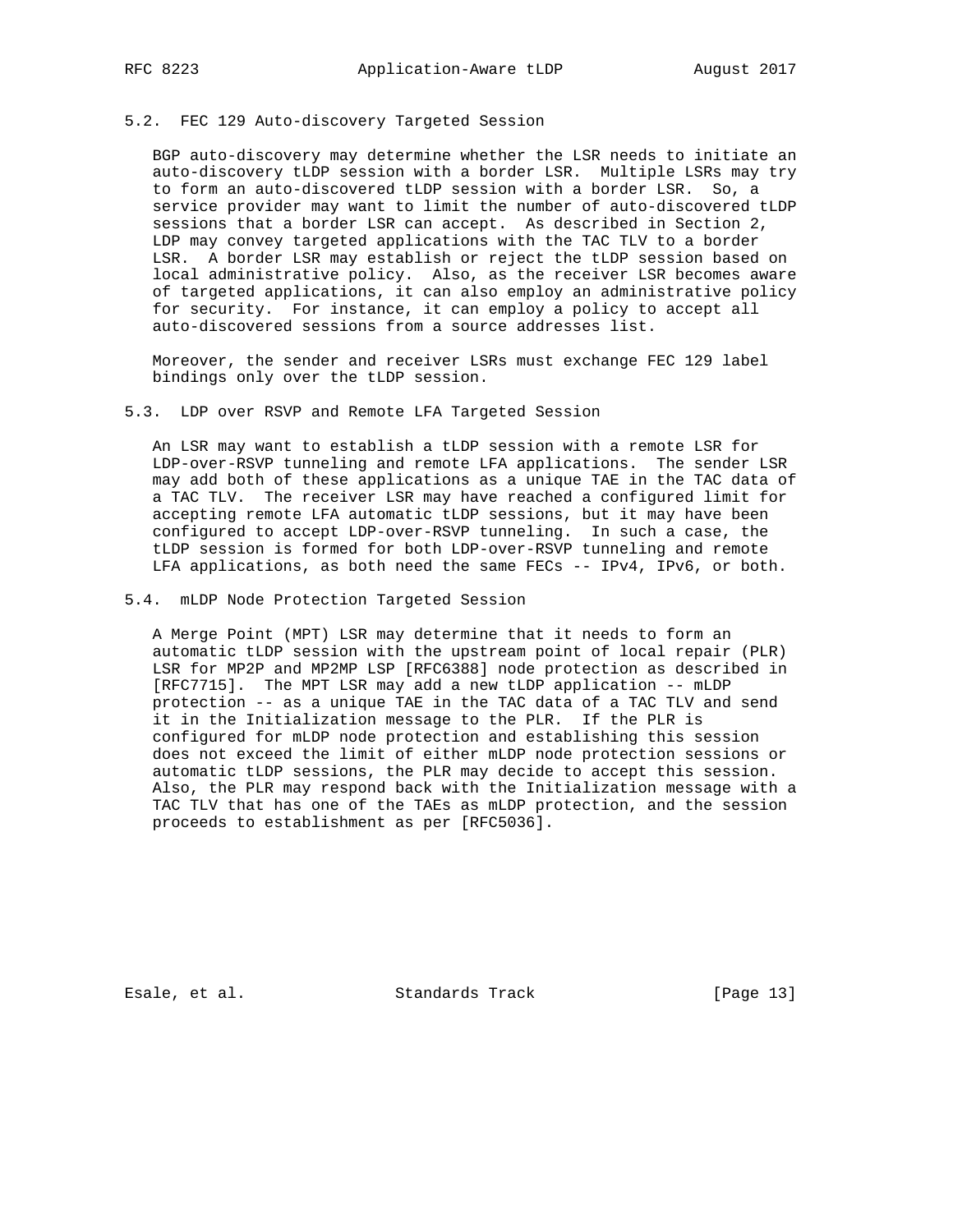## 5.2. FEC 129 Auto-discovery Targeted Session

 BGP auto-discovery may determine whether the LSR needs to initiate an auto-discovery tLDP session with a border LSR. Multiple LSRs may try to form an auto-discovered tLDP session with a border LSR. So, a service provider may want to limit the number of auto-discovered tLDP sessions that a border LSR can accept. As described in Section 2, LDP may convey targeted applications with the TAC TLV to a border LSR. A border LSR may establish or reject the tLDP session based on local administrative policy. Also, as the receiver LSR becomes aware of targeted applications, it can also employ an administrative policy for security. For instance, it can employ a policy to accept all auto-discovered sessions from a source addresses list.

 Moreover, the sender and receiver LSRs must exchange FEC 129 label bindings only over the tLDP session.

## 5.3. LDP over RSVP and Remote LFA Targeted Session

 An LSR may want to establish a tLDP session with a remote LSR for LDP-over-RSVP tunneling and remote LFA applications. The sender LSR may add both of these applications as a unique TAE in the TAC data of a TAC TLV. The receiver LSR may have reached a configured limit for accepting remote LFA automatic tLDP sessions, but it may have been configured to accept LDP-over-RSVP tunneling. In such a case, the tLDP session is formed for both LDP-over-RSVP tunneling and remote LFA applications, as both need the same FECs -- IPv4, IPv6, or both.

5.4. mLDP Node Protection Targeted Session

 A Merge Point (MPT) LSR may determine that it needs to form an automatic tLDP session with the upstream point of local repair (PLR) LSR for MP2P and MP2MP LSP [RFC6388] node protection as described in [RFC7715]. The MPT LSR may add a new tLDP application -- mLDP protection -- as a unique TAE in the TAC data of a TAC TLV and send it in the Initialization message to the PLR. If the PLR is configured for mLDP node protection and establishing this session does not exceed the limit of either mLDP node protection sessions or automatic tLDP sessions, the PLR may decide to accept this session. Also, the PLR may respond back with the Initialization message with a TAC TLV that has one of the TAEs as mLDP protection, and the session proceeds to establishment as per [RFC5036].

Esale, et al. Standards Track [Page 13]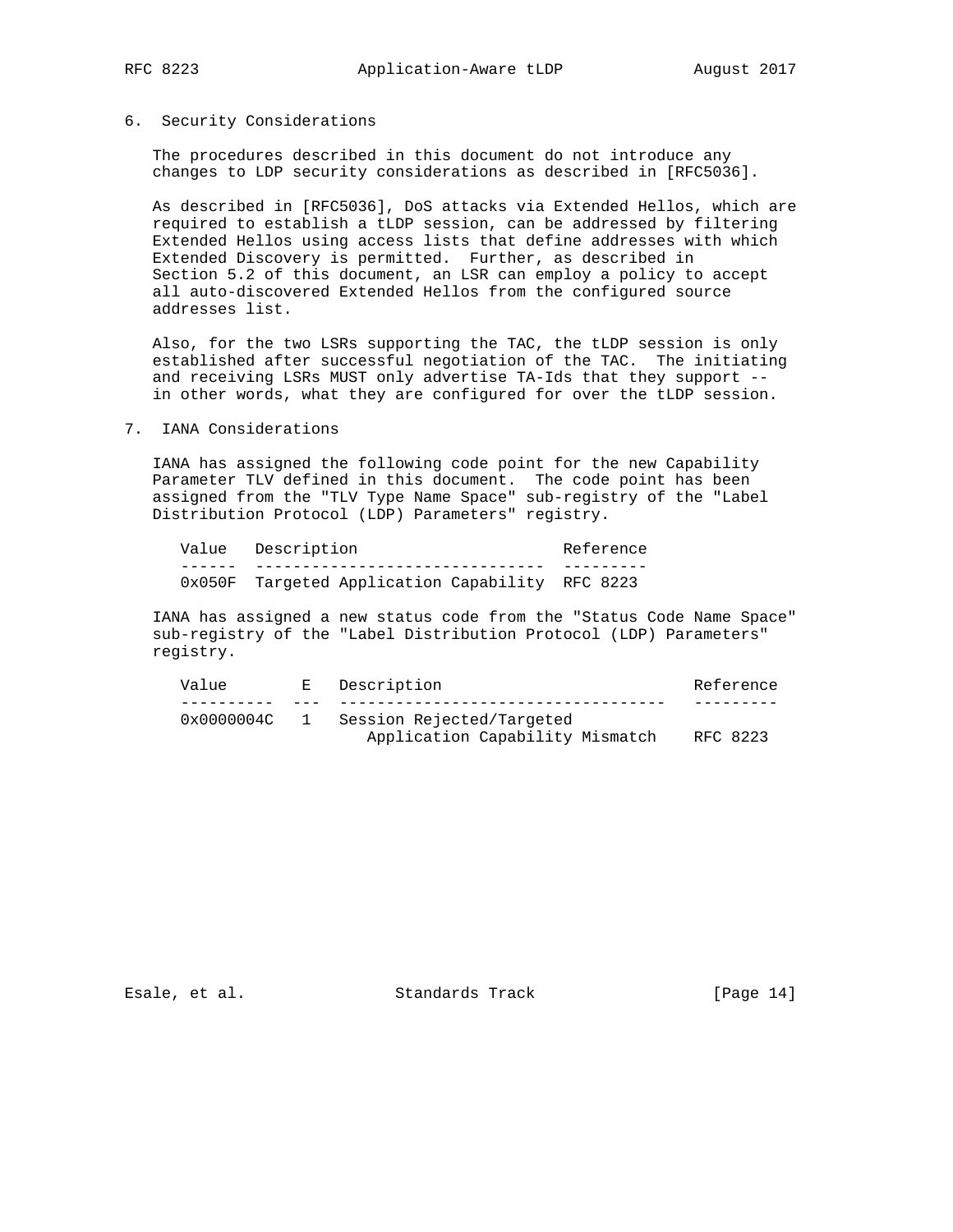## 6. Security Considerations

 The procedures described in this document do not introduce any changes to LDP security considerations as described in [RFC5036].

 As described in [RFC5036], DoS attacks via Extended Hellos, which are required to establish a tLDP session, can be addressed by filtering Extended Hellos using access lists that define addresses with which Extended Discovery is permitted. Further, as described in Section 5.2 of this document, an LSR can employ a policy to accept all auto-discovered Extended Hellos from the configured source addresses list.

 Also, for the two LSRs supporting the TAC, the tLDP session is only established after successful negotiation of the TAC. The initiating and receiving LSRs MUST only advertise TA-Ids that they support - in other words, what they are configured for over the tLDP session.

## 7. IANA Considerations

 IANA has assigned the following code point for the new Capability Parameter TLV defined in this document. The code point has been assigned from the "TLV Type Name Space" sub-registry of the "Label Distribution Protocol (LDP) Parameters" registry.

|  | Value Description                               | Reference |
|--|-------------------------------------------------|-----------|
|  |                                                 |           |
|  | 0x050F Targeted Application Capability RFC 8223 |           |

 IANA has assigned a new status code from the "Status Code Name Space" sub-registry of the "Label Distribution Protocol (LDP) Parameters" registry.

| Value      | E. | Description                     | Reference |
|------------|----|---------------------------------|-----------|
|            |    |                                 |           |
| 0x0000004C |    | Session Rejected/Targeted       |           |
|            |    | Application Capability Mismatch | RFC 8223  |

Esale, et al. Standards Track [Page 14]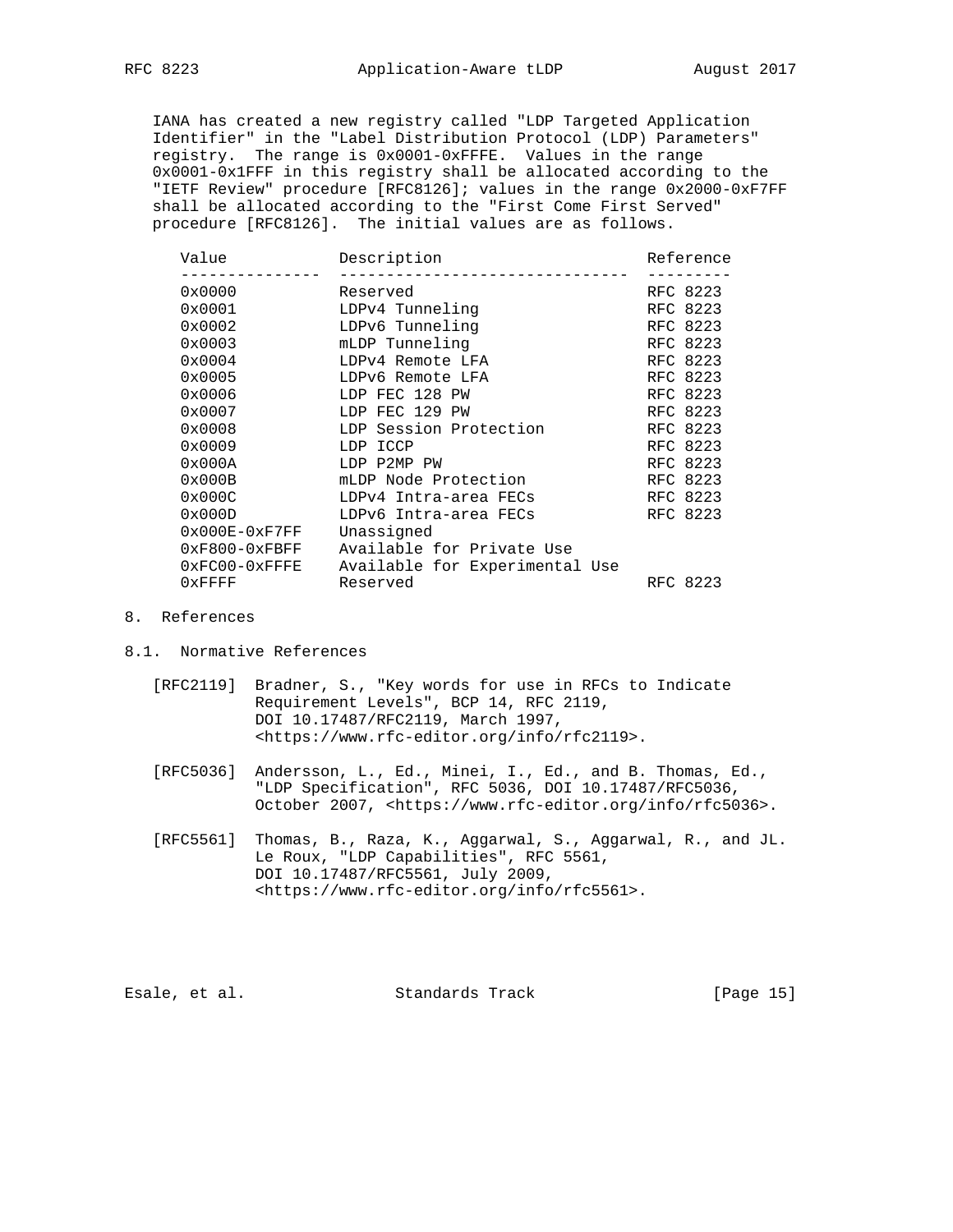IANA has created a new registry called "LDP Targeted Application Identifier" in the "Label Distribution Protocol (LDP) Parameters" registry. The range is 0x0001-0xFFFE. Values in the range 0x0001-0x1FFF in this registry shall be allocated according to the "IETF Review" procedure [RFC8126]; values in the range 0x2000-0xF7FF shall be allocated according to the "First Come First Served" procedure [RFC8126]. The initial values are as follows.

| Value           | Description                    | Reference |
|-----------------|--------------------------------|-----------|
| 0x0000          | Reserved                       | RFC 8223  |
| 0x0001          | LDPv4 Tunneling                | RFC 8223  |
| 0x0002          | LDPv6 Tunneling                | RFC 8223  |
| 0x0003          | mLDP Tunneling                 | RFC 8223  |
| 0x0004          | LDPv4 Remote LFA               | RFC 8223  |
| 0x0005          | LDPv6 Remote LFA               | RFC 8223  |
| 0x0006          | LDP FEC 128 PW                 | RFC 8223  |
| 0x0007          | LDP FEC 129 PW                 | RFC 8223  |
| 0x0008          | LDP Session Protection         | RFC 8223  |
| 0x0009          | LDP ICCP                       | RFC 8223  |
| 0x000A          | LDP P2MP PW                    | RFC 8223  |
| 0x000B          | mLDP Node Protection           | RFC 8223  |
| 0x000C          | LDPv4 Intra-area FECs          | RFC 8223  |
| 0x000D          | LDPv6 Intra-area FECs          | RFC 8223  |
| $0x000E-0xF7FF$ | Unassigned                     |           |
| $0xF800-0xFBFF$ | Available for Private Use      |           |
| $0xFC00-0xFFFE$ | Available for Experimental Use |           |
| $0x$ FFFF       | Reserved                       | RFC 8223  |
|                 |                                |           |

# 8. References

- 8.1. Normative References
	- [RFC2119] Bradner, S., "Key words for use in RFCs to Indicate Requirement Levels", BCP 14, RFC 2119, DOI 10.17487/RFC2119, March 1997, <https://www.rfc-editor.org/info/rfc2119>.
	- [RFC5036] Andersson, L., Ed., Minei, I., Ed., and B. Thomas, Ed., "LDP Specification", RFC 5036, DOI 10.17487/RFC5036, October 2007, <https://www.rfc-editor.org/info/rfc5036>.
	- [RFC5561] Thomas, B., Raza, K., Aggarwal, S., Aggarwal, R., and JL. Le Roux, "LDP Capabilities", RFC 5561, DOI 10.17487/RFC5561, July 2009, <https://www.rfc-editor.org/info/rfc5561>.

Esale, et al. Standards Track [Page 15]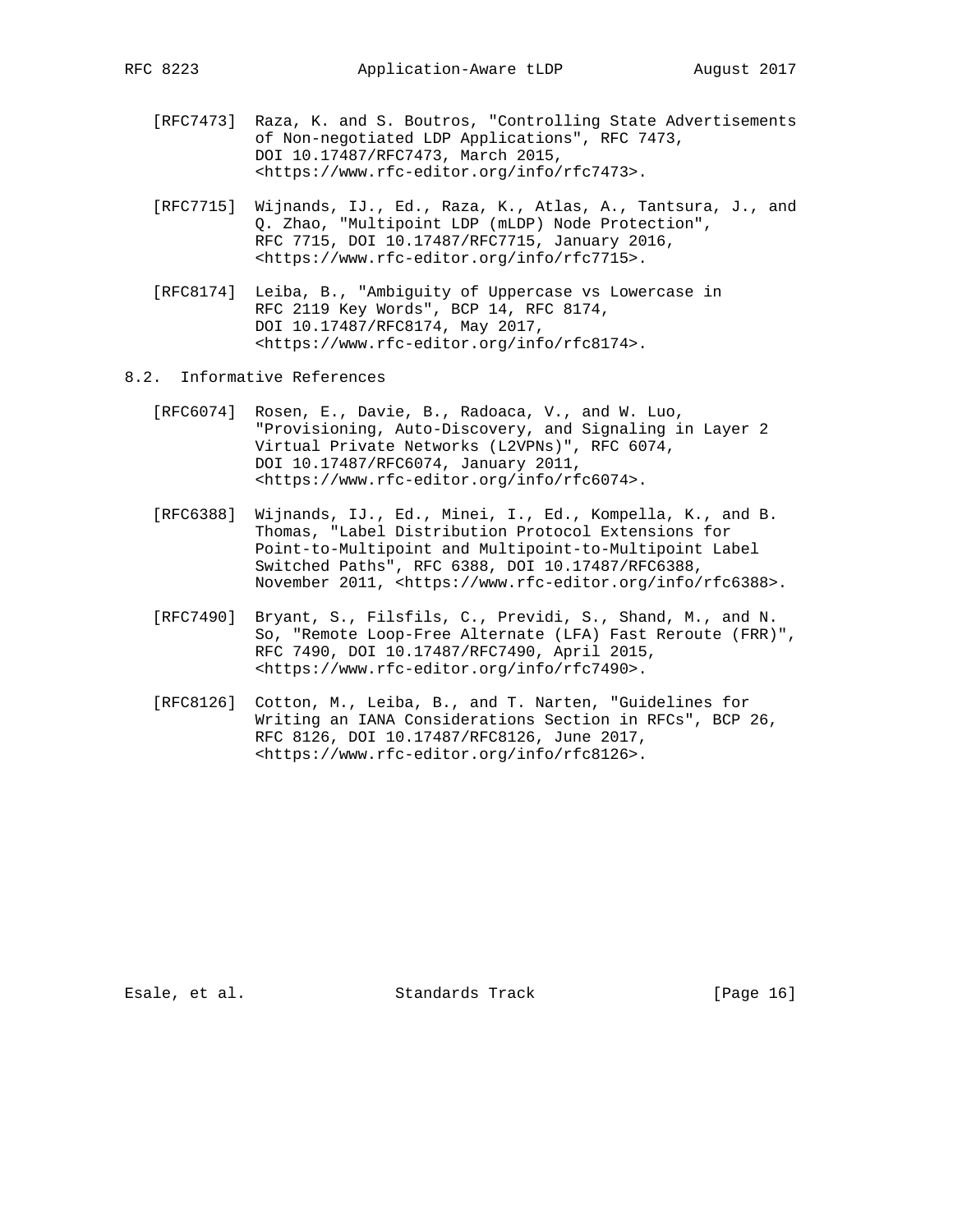- [RFC7473] Raza, K. and S. Boutros, "Controlling State Advertisements of Non-negotiated LDP Applications", RFC 7473, DOI 10.17487/RFC7473, March 2015, <https://www.rfc-editor.org/info/rfc7473>.
- [RFC7715] Wijnands, IJ., Ed., Raza, K., Atlas, A., Tantsura, J., and Q. Zhao, "Multipoint LDP (mLDP) Node Protection", RFC 7715, DOI 10.17487/RFC7715, January 2016, <https://www.rfc-editor.org/info/rfc7715>.
- [RFC8174] Leiba, B., "Ambiguity of Uppercase vs Lowercase in RFC 2119 Key Words", BCP 14, RFC 8174, DOI 10.17487/RFC8174, May 2017, <https://www.rfc-editor.org/info/rfc8174>.
- 8.2. Informative References
	- [RFC6074] Rosen, E., Davie, B., Radoaca, V., and W. Luo, "Provisioning, Auto-Discovery, and Signaling in Layer 2 Virtual Private Networks (L2VPNs)", RFC 6074, DOI 10.17487/RFC6074, January 2011, <https://www.rfc-editor.org/info/rfc6074>.
	- [RFC6388] Wijnands, IJ., Ed., Minei, I., Ed., Kompella, K., and B. Thomas, "Label Distribution Protocol Extensions for Point-to-Multipoint and Multipoint-to-Multipoint Label Switched Paths", RFC 6388, DOI 10.17487/RFC6388, November 2011, <https://www.rfc-editor.org/info/rfc6388>.
	- [RFC7490] Bryant, S., Filsfils, C., Previdi, S., Shand, M., and N. So, "Remote Loop-Free Alternate (LFA) Fast Reroute (FRR)", RFC 7490, DOI 10.17487/RFC7490, April 2015, <https://www.rfc-editor.org/info/rfc7490>.
	- [RFC8126] Cotton, M., Leiba, B., and T. Narten, "Guidelines for Writing an IANA Considerations Section in RFCs", BCP 26, RFC 8126, DOI 10.17487/RFC8126, June 2017, <https://www.rfc-editor.org/info/rfc8126>.

Esale, et al. Standards Track [Page 16]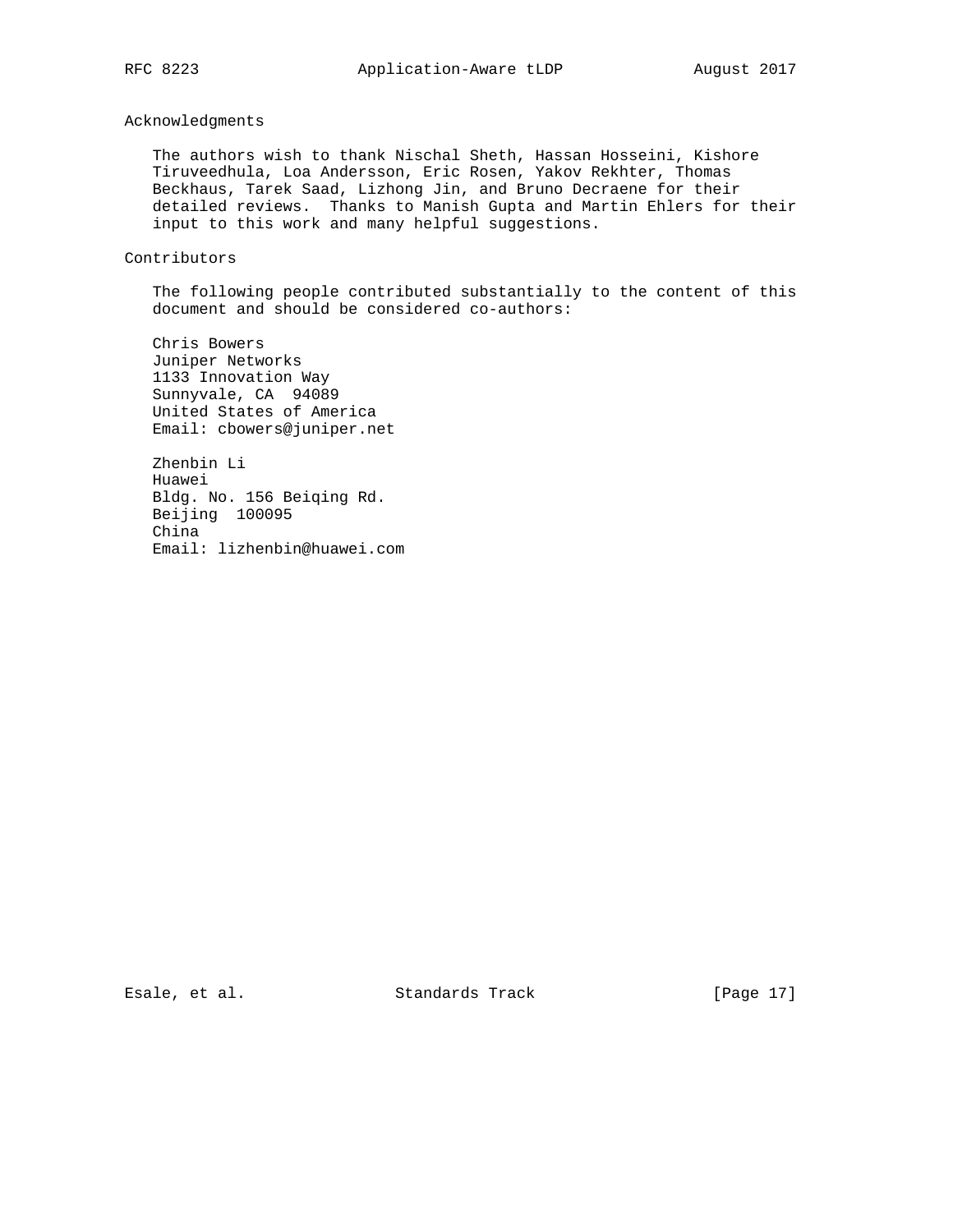# Acknowledgments

 The authors wish to thank Nischal Sheth, Hassan Hosseini, Kishore Tiruveedhula, Loa Andersson, Eric Rosen, Yakov Rekhter, Thomas Beckhaus, Tarek Saad, Lizhong Jin, and Bruno Decraene for their detailed reviews. Thanks to Manish Gupta and Martin Ehlers for their input to this work and many helpful suggestions.

## Contributors

 The following people contributed substantially to the content of this document and should be considered co-authors:

 Chris Bowers Juniper Networks 1133 Innovation Way Sunnyvale, CA 94089 United States of America Email: cbowers@juniper.net

 Zhenbin Li Huawei Bldg. No. 156 Beiqing Rd. Beijing 100095 China Email: lizhenbin@huawei.com

Esale, et al. Standards Track [Page 17]